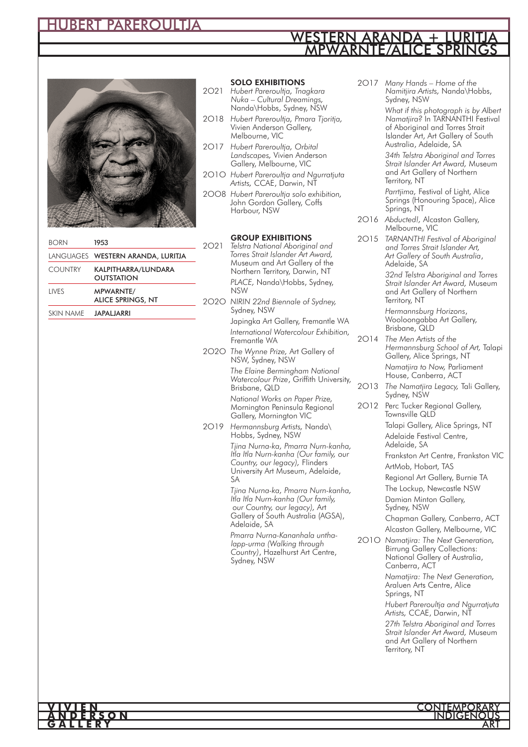# HUBERT PAREROULTJA

### MPWARNTE/ALICE SPRINGS WESTERN ARANDA



| <b>BORN</b>    | 1953                                         |
|----------------|----------------------------------------------|
|                | LANGUAGES WESTERN ARANDA, LURITJA            |
| <b>COUNTRY</b> | KALPITHARRA/LUNDARA<br><b>OUTSTATION</b>     |
| LIVES          | <b>MPWARNTE/</b><br><b>ALICE SPRINGS, NT</b> |
| SKIN NAMF      | <b>JAPALJARRI</b>                            |

### **SOLO EXHIBITIONS**

- 2O21 *Hubert Pareroultja, Tnagkara Nuka – Cultural Dreamings,*  Nanda\Hobbs, Sydney, NSW
- 2O18 *Hubert Pareroultja, Pmara Tjoritja,* Vivien Anderson Gallery, Melbourne, VIC
- 2O17 *Hubert Pareroultja, Orbital Landscapes,* Vivien Anderson Gallery, Melbourne, VIC
- 2O1O *Hubert Pareroultja and Ngurratjuta Artists,* CCAE, Darwin, NT
- 2OO8 *Hubert Pareroultja solo exhibition,*  John Gordon Gallery, Coffs Harbour, NSW

### **GROUP EXHIBITIONS**

- 2O21 *Telstra National Aboriginal and Torres Strait Islander Art Award,* Museum and Art Gallery of the Northern Territory, Darwin, NT *PLACE,* Nanda\Hobbs, Sydney, NSW
- 2O2O *NIRIN 22nd Biennale of Sydney,*  Sydney, NSW Japingka Art Gallery, Fremantle WA
	- *International Watercolour Exhibition,*  Fremantle WA
- 2O2O *The Wynne Prize,* Art Gallery of NSW, Sydney, NSW *The Elaine Bermingham National* 
	- *Watercolour Prize*, Griffith University, Brisbane, QLD *National Works on Paper Prize,*
	- Mornington Peninsula Regional Gallery, Mornington VIC
- 2O19 *Hermannsburg Artists,* Nanda\ Hobbs, Sydney, NSW

*Tjina Nurna-ka, Pmarra Nurn-kanha, Itla Itla Nurn-kanha (Our family, our Country, our legacy),* Flinders University Art Museum, Adelaide,  $S_A$ 

*Tjina Nurna-ka, Pmarra Nurn-kanha, Itla Itla Nurn-kanha (Our family, our Country, our legacy),* Art Gallery of South Australia (AGSA), Adelaide, SA

*Pmarra Nurna-Kananhala unthalapp-urma (Walking through Country)*, Hazelhurst Art Centre, Sydney, NSW

2O17 *Many Hands – Home of the Namitjira Artists,* Nanda\Hobbs, Sydney, NSW

> *What if this photograph is by Albert Namatjira?* In TARNANTHI Festival of Aboriginal and Torres Strait Islander Art, Art Gallery of South Australia, Adelaide, SA

*34th Telstra Aboriginal and Torres Strait Islander Art Award,* Museum and Art Gallery of Northern Territory, NT

*Parrtjima,* Festival of Light, Alice Springs (Honouring Space), Alice Springs, NT

2O16 *Abducted!,* Alcaston Gallery, Melbourne, VIC

2O15 *TARNANTHI Festival of Aboriginal and Torres Strait Islander Art, Art Gallery of South Australia*, Adelaide, SA

*32nd Telstra Aboriginal and Torres Strait Islander Art Award,* Museum and Art Gallery of Northern Territory, NT

*Hermannsburg Horizons*, Wooloongabba Art Gallery, Brisbane, QLD

2O14 *The Men Artists of the Hermannsburg School of Art,* Talapi Gallery, Alice Springs, NT

*Namatjira to Now,* Parliament House, Canberra, ACT

- 2O13 *The Namatjira Legacy,* Tali Gallery, Sydney, NSW
- 2O12 Perc Tucker Regional Gallery, Townsville QLD Talapi Gallery, Alice Springs, NT

Adelaide Festival Centre, Adelaide, SA

Frankston Art Centre, Frankston VIC ArtMob, Hobart, TAS

Regional Art Gallery, Burnie TA

The Lockup, Newcastle NSW

Damian Minton Gallery, Sydney, NSW

Chapman Gallery, Canberra, ACT Alcaston Gallery, Melbourne, VIC

2O1O *Namatjira: The Next Generation,* Birrung Gallery Collections: National Gallery of Australia, Canberra, ACT *Namatjira: The Next Generation,* Araluen Arts Centre, Alice Springs, NT *Hubert Pareroultja and Ngurratjuta Artists,* CCAE, Darwin, NT *27th Telstra Aboriginal and Torres Strait Islander Art Award,* Museum and Art Gallery of Northern Territory, NT